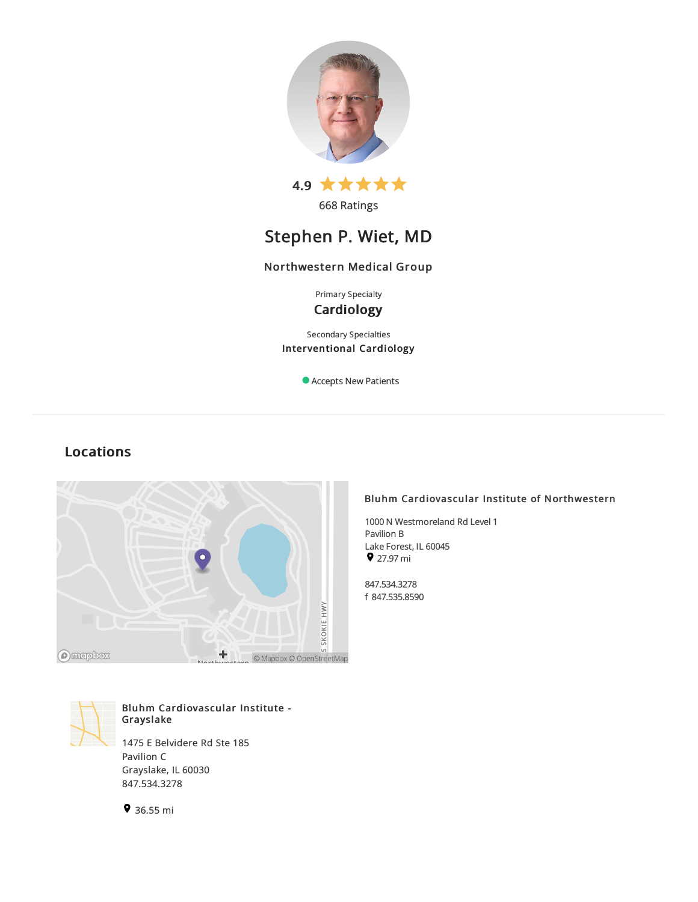

668 Ratings

# Stephen P. Wiet, MD

# Northwestern Medical Group

Primary Specialty **Cardiology** 

Secondary Specialties Interventional Cardiology

Accepts New Patients

# Locations



# Bluhm Cardiovascular Institute - Grayslake

1475 E Belvidere Rd Ste 185 Pavilion C Grayslake, IL 60030 847.534.3278





# Bluhm Cardiovascular Institute of Northwestern

1000 N Westmoreland Rd Level 1 Pavilion B Lake Forest, IL 60045 27.97mi

847.534.3278 f 847.535.8590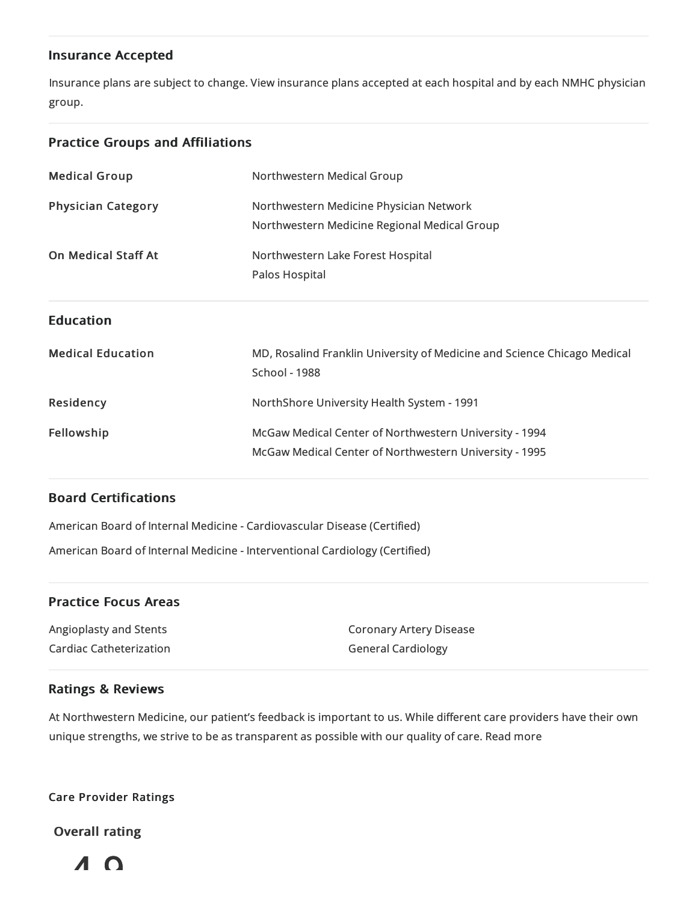# Insurance Accepted

Insurance plans are subject to change. View [insurance](https://www.nm.org/patients-and-visitors/billing-and-insurance/insurance-information/accepted-insurance-plans) plans accepted at each hospital and by each NMHC physician group.

# Practice Groups and Affiliations

| <b>Medical Group</b>       | Northwestern Medical Group                                                                                       |
|----------------------------|------------------------------------------------------------------------------------------------------------------|
| <b>Physician Category</b>  | Northwestern Medicine Physician Network<br>Northwestern Medicine Regional Medical Group                          |
| <b>On Medical Staff At</b> | Northwestern Lake Forest Hospital<br>Palos Hospital                                                              |
| <b>Education</b>           |                                                                                                                  |
| <b>Medical Education</b>   | MD, Rosalind Franklin University of Medicine and Science Chicago Medical<br><b>School - 1988</b>                 |
| Residency                  | NorthShore University Health System - 1991                                                                       |
| Fellowship                 | McGaw Medical Center of Northwestern University - 1994<br>McGaw Medical Center of Northwestern University - 1995 |

# Board Certifications

American Board of Internal Medicine- Cardiovascular Disease(Certified) American Board of Internal Medicine- Interventional Cardiology (Certified)

# Practice Focus Areas

Angioplastyand Stents Cardiac Catheterization Coronary Artery Disease General Cardiology

# Ratings & Reviews

At Northwestern Medicine, our patient's feedback is important to us. While different care providers have their own unique strengths, we strive to be as transparent as possible with our quality of care. Read more

Care Provider Ratings

Overall rating

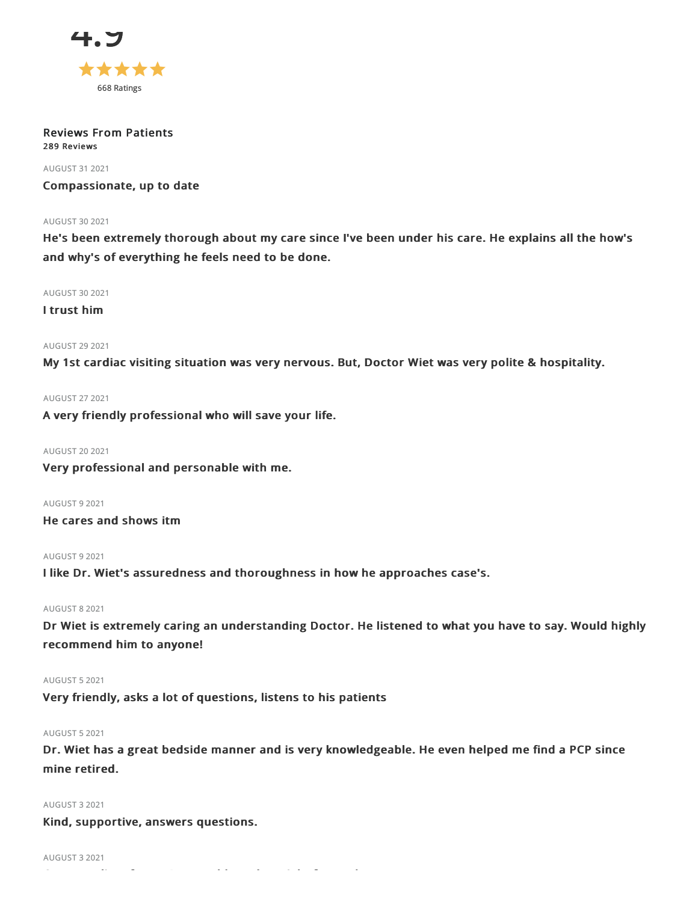

#### Reviews From Patients 289 Reviews

AUGUST 312021

Compassionate, up to date

#### **AUGUST 30 2021**

He's been extremely thorough about my care since I've been under his care. He explains all the how's and why's of everything he feels need to be done.

AUGUST 302021

I trust him

# **AUGUST 29 2021**

My 1st cardiac visiting situation was very nervous. But, Doctor Wiet was very polite & hospitality.

AUGUST 272021

A very friendly professional who will save your life.

# AUGUST 202021

Very professional and personable with me.

AUGUST 92021

He cares and shows itm

AUGUST 92021

I like Dr. Wiet's assuredness and thoroughness in how he approaches case's.

# AUGUST 82021

Dr Wiet is extremely caring an understanding Doctor. He listened to what you have to say. Would highly recommend him to anyone!

# AUGUST 52021

Very friendly, asks a lot of questions, listens to his patients

# AUGUST 52021

Dr. Wiet has a great bedside manner and is very knowledgeable. He even helped me find a PCP since mine retired.

#### AUGUST 32021

Kind, supportive, answers questions.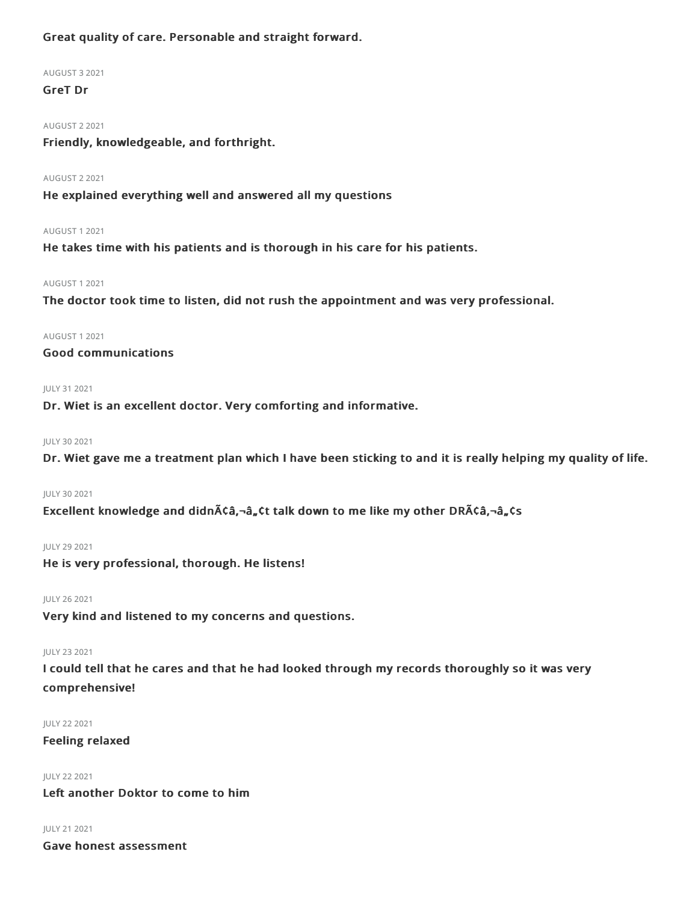# Great quality of care. Personable and straight forward.

# AUGUST 32021

GreT Dr

# AUGUST 22021

Friendly, knowledgeable, and forthright.

## AUGUST 22021

He explained everything well and answered all my questions

# AUGUST 12021

He takes time with his patients and is thorough in his care for his patients.

# AUGUST 12021

The doctor took time to listen, did not rush the appointment and was very professional.

### AUGUST 12021

Good communications

# JULY 312021

Dr. Wiet is an excellent doctor. Very comforting and informative.

### JULY 302021

Dr. Wiet gave me a treatment plan which I have been sticking to and it is really helping my quality of life.

#### JULY 30 2021

Excellent knowledge and didn $\tilde{A}$ ¢â,¬â, ¢t talk down to me like my other DR $\tilde{A}$ ¢â,¬â, ¢s

# JULY 29 2021

He is very professional, thorough. He listens!

# JULY 262021

Very kind and listened to my concerns and questions.

#### JULY 232021

I could tell that he cares and that he had looked through my records thoroughly so it was very comprehensive!

#### JULY 222021

# Feeling relaxed

JULY 222021 Left another Doktor to come to him

# JULY 212021

Gave honest assessment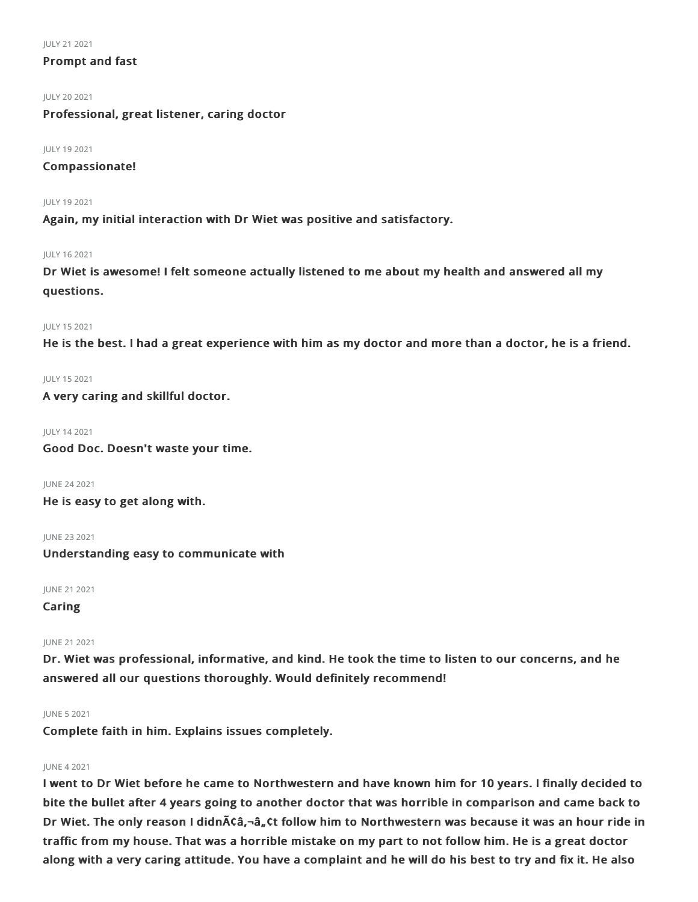#### JULY 212021

# Prompt and fast

JULY 202021

Professional, great listener, caring doctor

JULY 192021

Compassionate!

JULY 192021

Again, my initial interaction with Dr Wiet was positive and satisfactory.

# JULY 162021

Dr Wiet is awesome! I felt someone actually listened to me about my health and answered all my questions.

### JULY 152021

He is the best. I had a great experience with him as my doctor and more than a doctor, he is a friend.

JULY 152021

A very caring and skillful doctor.

# JULY 142021

Good Doc. Doesn't waste your time.

JUNE 242021

He is easy to get along with.

JUNE 232021

Understanding easy to communicate with

JUNE 212021

Caring

# JUNE 212021

Dr. Wiet was professional, informative, and kind. He took the time to listen to our concerns, and he answered all our questions thoroughly. Would definitely recommend!

# JUNE 52021

Complete faith in him. Explains issues completely.

# JUNE 42021

I went to Dr Wiet before he came to Northwestern and have known him for 10 years. I finally decided to bite the bullet after 4 years going to another doctor that was horrible in comparison and came back to Dr Wiet. The only reason I didnââ,¬â"¢t follow him to Northwestern was because it was an hour ride in traffic from my house. That was a horrible mistake on my part to not follow him. He is a great doctor along with a very caring attitude. You have a complaint and he will do his best to try and fix it. He also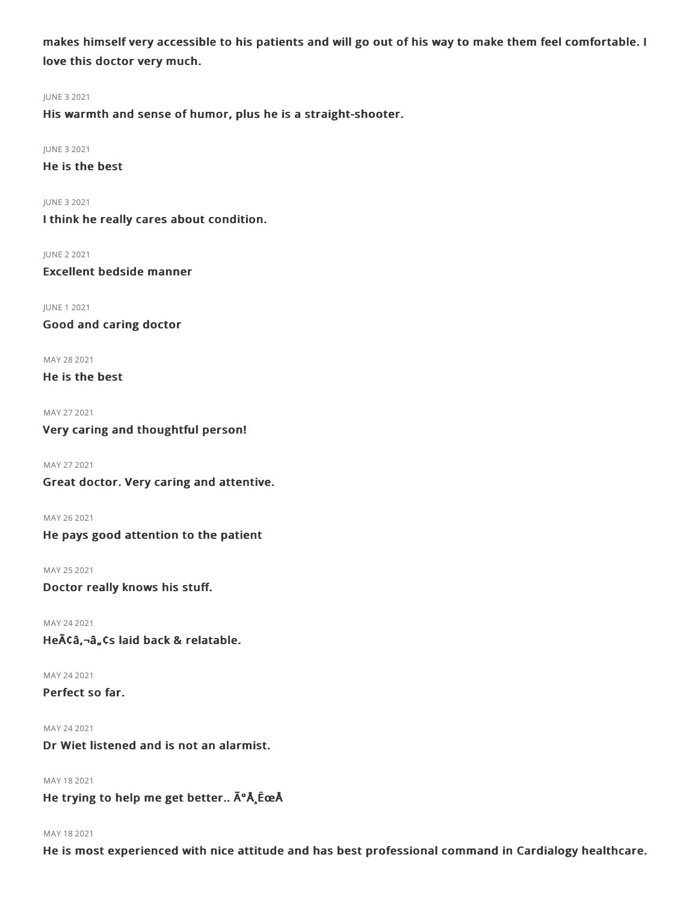makes himself very accessible to his patients and will go out of his way to make them feel comfortable. I love this doctor very much.

#### JUNE 32021

His warmth and sense of humor, plus he is a straight-shooter.

## JUNE 32021

He is the best

JUNE 32021

I think he really cares about condition.

JUNE 22021

Excellent bedside manner

JUNE 12021 Good and caring doctor

MAY 282021

He is the best

MAY 272021 Very caring and thoughtful person!

MAY 272021

Great doctor. Very caring and attentive.

MAY 262021 He pays good attention to the patient

MAY 25 2021 Doctor really knows his stuff.

MAY 242021 Heââ,¬â"¢s laid back & relatable.

MAY 242021 Perfect so far.

MAY 242021 Dr Wiet listened and is not an alarmist.

MAY 182021

He trying to help me get better.. úÅ ËœÅ

#### MAY 182021

He is most experienced with nice attitude and has best professional command in Cardialogy healthcare.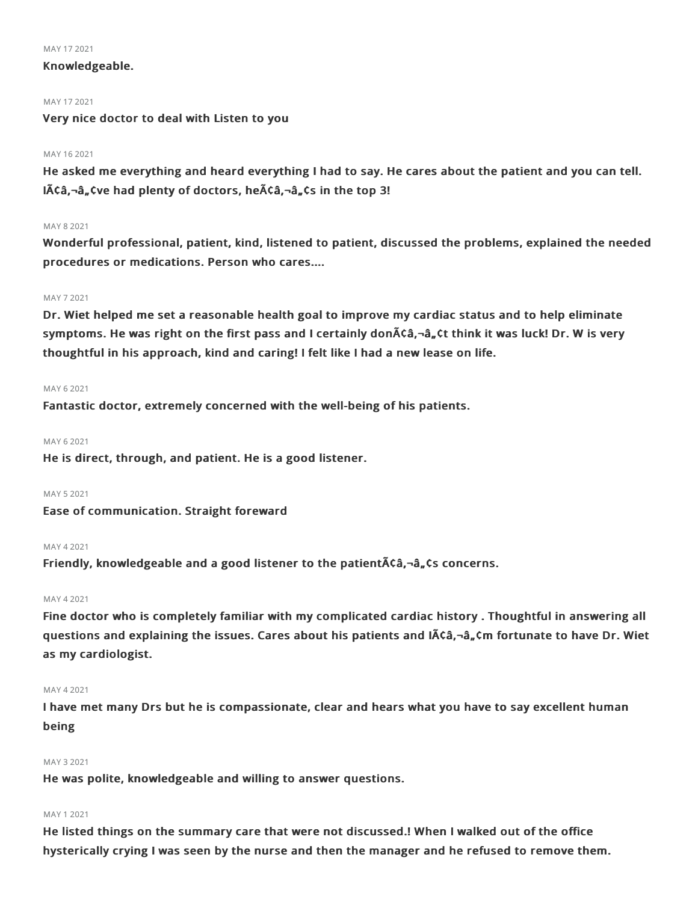#### MAY 172021

# Knowledgeable.

#### MAY 172021

Very nice doctor to deal with Listen to you

## MAY 162021

He asked me everything and heard everything I had to say. He cares about the patient and you can tell.  $I$  $\tilde{A}$  $\tilde{C}$  $\tilde{a}$ ,  $\tilde{a}$  $\tilde{a}$ ,  $\tilde{c}$  and plenty of doctors, he $\tilde{A}$  $\tilde{C}$  $\tilde{a}$ ,  $\tilde{a}$ ,  $\tilde{c}$  in the top 3!

## MAY 82021

Wonderful professional, patient, kind, listened to patient, discussed the problems, explained the needed procedures or medications. Person who cares....

### MAY 72021

Dr. Wiet helped me set a reasonable health goal to improve my cardiac status and to help eliminate symptoms. He was right on the first pass and I certainly don $\tilde{A}$  $\tilde{G}$  $\tilde{A}$ <sub> $\tilde{G}$ </sub> $\tilde{G}$  think it was luck! Dr. W is very thoughtful in his approach, kind and caring! I felt like I had a new lease on life.

### MAY 62021

Fantastic doctor, extremely concerned with the well-being of his patients.

#### MAY 6 2021

He is direct, through, and patient. He is a good listener.

#### MAY 52021

Ease of communication. Straight foreward

# MAY 42021

Friendly, knowledgeable and a good listener to the patient  $\tilde{A}$   $\tilde{C}$  and  $\tilde{A}$ ,  $\tilde{C}$  concerns.

# MAY 42021

Fine doctor who is completely familiar with my complicated cardiac history . Thoughtful in answering all questions and explaining the issues. Cares about his patients and IACa,-a, cm fortunate to have Dr. Wiet as my cardiologist.

# MAY 42021

I have met many Drs but he is compassionate, clear and hears what you have to say excellent human being

## MAY 32021

He was polite, knowledgeable and willing to answer questions.

#### MAY 1 2021

He listed things on the summary care that were not discussed.! When I walked out of the office hysterically crying I was seen by the nurse and then the manager and he refused to remove them.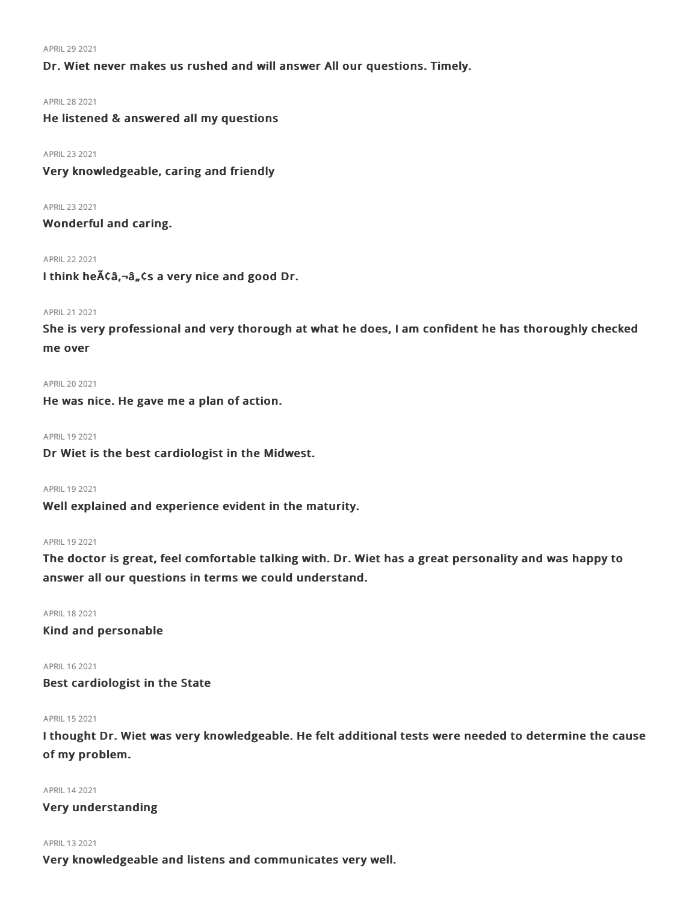#### APRIL292021

Dr. Wiet never makes us rushed and will answer All our questions. Timely.

#### APRIL282021

He listened & answered all my questions

APRIL232021

Very knowledgeable, caring and friendly

APRIL232021

Wonderful and caring.

## APRIL222021

I think he $\tilde{A}$ câ,-â, cs a very nice and good Dr.

# APRIL212021

She is very professional and very thorough at what he does, I am confident he has thoroughly checked me over

APRIL202021

He was nice. He gave me a plan of action.

APRIL 19 2021

Dr Wiet is the best cardiologist in the Midwest.

APRIL 19 2021

Well explained and experience evident in the maturity.

# APRIL 19 2021

The doctor is great, feel comfortable talking with. Dr. Wiet has a great personality and was happy to answer all our questions in terms we could understand.

APRIL182021

Kind and personable

APRIL 16 2021 Best cardiologist in the State

#### APRIL 15 2021

I thought Dr. Wiet was very knowledgeable. He felt additional tests were needed to determine the cause of my problem.

#### APRIL142021

Very understanding

#### APRIL 13 2021

Very knowledgeable and listens and communicates very well.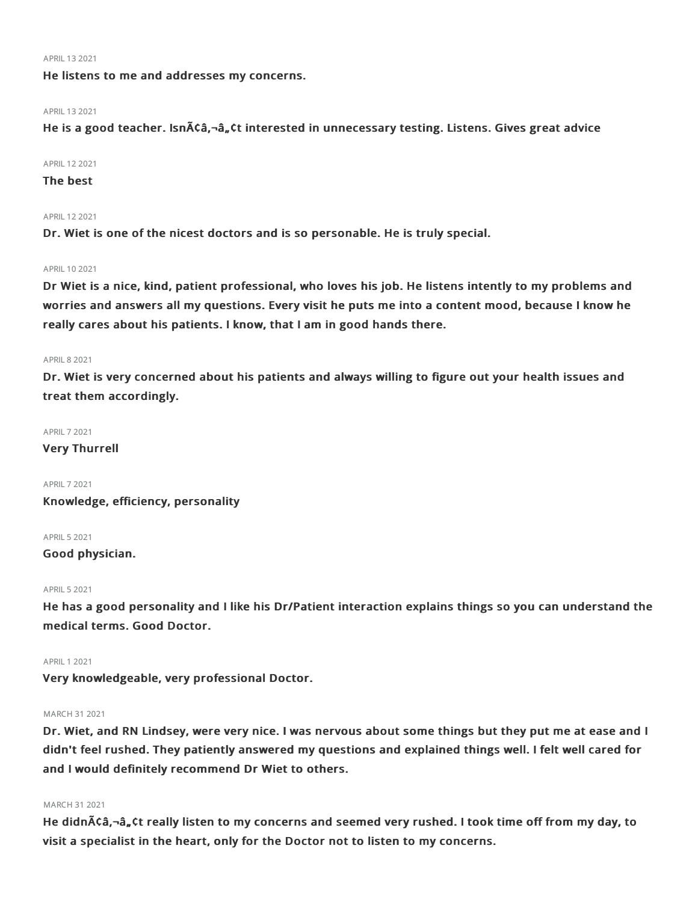#### APRIL132021

He listens to me and addresses my concerns.

#### APRIL 13 2021

He is a good teacher. Isnââ,-â"¢t interested in unnecessary testing. Listens. Gives great advice

#### APRIL122021

# The best

#### APRIL122021

Dr. Wiet is one of the nicest doctors and is so personable. He is truly special.

#### APRIL 10 2021

Dr Wiet is a nice, kind, patient professional, who loves his job. He listens intently to my problems and worries and answers all my questions. Every visit he puts me into a content mood, because I know he really cares about his patients. I know, that I am in good hands there.

#### APRIL82021

Dr. Wiet is very concerned about his patients and always willing to figure out your health issues and treat them accordingly.

#### APRIL72021

Very Thurrell

APRIL72021 Knowledge, efficiency, personality

APRIL52021

Good physician.

### APRIL 5 2021

He has a good personality and I like his Dr/Patient interaction explains things so you can understand the medical terms. Good Doctor.

#### **APRIL 1 2021**

Very knowledgeable, very professional Doctor.

#### MARCH 312021

Dr. Wiet, and RN Lindsey, were very nice. I was nervous about some things but they put me at ease and I didn't feel rushed. They patiently answered my questions and explained things well. I felt well cared for and I would definitely recommend Dr Wiet to others.

# MARCH 312021

He didn $\tilde{A}$ Câ,-â, Ct really listen to my concerns and seemed very rushed. I took time off from my day, to visit a specialist in the heart, only for the Doctor not to listen to my concerns.